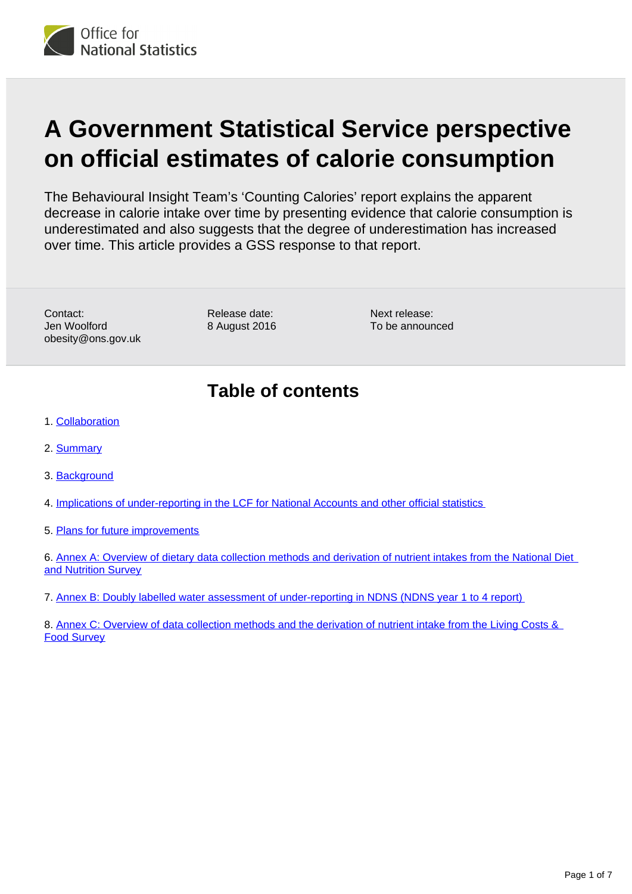

# **A Government Statistical Service perspective on official estimates of calorie consumption**

The Behavioural Insight Team's 'Counting Calories' report explains the apparent decrease in calorie intake over time by presenting evidence that calorie consumption is underestimated and also suggests that the degree of underestimation has increased over time. This article provides a GSS response to that report.

Contact: Jen Woolford obesity@ons.gov.uk

Release date: 8 August 2016

Next release: To be announced

### **Table of contents**

- 1. [Collaboration](#page-1-0)
- 2. [Summary](#page-1-1)
- 3. [Background](#page-1-2)
- 4. [Implications of under-reporting in the LCF for National Accounts and other official statistics](#page-2-0)
- 5. [Plans for future improvements](#page-3-0)

6. Annex A: Overview of dietary data collection methods and derivation of nutrient intakes from the National Diet and Nutrition Survey

7. Annex B: Doubly labelled water assessment of under-reporting in NDNS (NDNS year 1 to 4 report)

8. Annex C: Overview of data collection methods and the derivation of nutrient intake from the Living Costs & Food Survey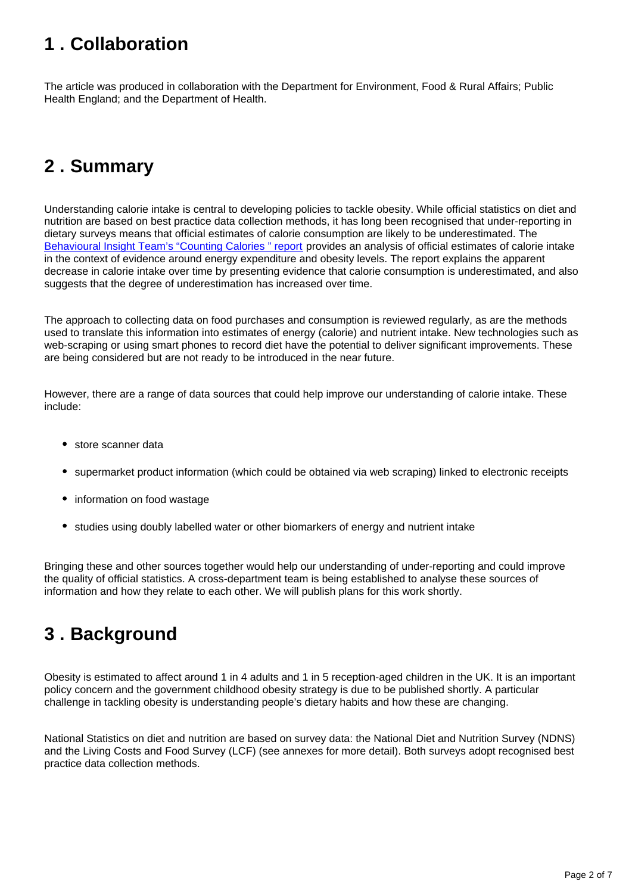# <span id="page-1-0"></span>**1 . Collaboration**

The article was produced in collaboration with the Department for Environment, Food & Rural Affairs; Public Health England; and the Department of Health.

# <span id="page-1-1"></span>**2 . Summary**

Understanding calorie intake is central to developing policies to tackle obesity. While official statistics on diet and nutrition are based on best practice data collection methods, it has long been recognised that under-reporting in dietary surveys means that official estimates of calorie consumption are likely to be underestimated. The [Behavioural Insight Team's "Counting Calories " report](http://www.behaviouralinsights.co.uk/wp-content/uploads/2016/08/16-07-12-Counting-Calories-Final.pdf) provides an analysis of official estimates of calorie intake in the context of evidence around energy expenditure and obesity levels. The report explains the apparent decrease in calorie intake over time by presenting evidence that calorie consumption is underestimated, and also suggests that the degree of underestimation has increased over time.

The approach to collecting data on food purchases and consumption is reviewed regularly, as are the methods used to translate this information into estimates of energy (calorie) and nutrient intake. New technologies such as web-scraping or using smart phones to record diet have the potential to deliver significant improvements. These are being considered but are not ready to be introduced in the near future.

However, there are a range of data sources that could help improve our understanding of calorie intake. These include:

- store scanner data
- supermarket product information (which could be obtained via web scraping) linked to electronic receipts
- information on food wastage
- studies using doubly labelled water or other biomarkers of energy and nutrient intake

Bringing these and other sources together would help our understanding of under-reporting and could improve the quality of official statistics. A cross-department team is being established to analyse these sources of information and how they relate to each other. We will publish plans for this work shortly.

# <span id="page-1-2"></span>**3 . Background**

Obesity is estimated to affect around 1 in 4 adults and 1 in 5 reception-aged children in the UK. It is an important policy concern and the government childhood obesity strategy is due to be published shortly. A particular challenge in tackling obesity is understanding people's dietary habits and how these are changing.

National Statistics on diet and nutrition are based on survey data: the National Diet and Nutrition Survey (NDNS) and the Living Costs and Food Survey (LCF) (see annexes for more detail). Both surveys adopt recognised best practice data collection methods.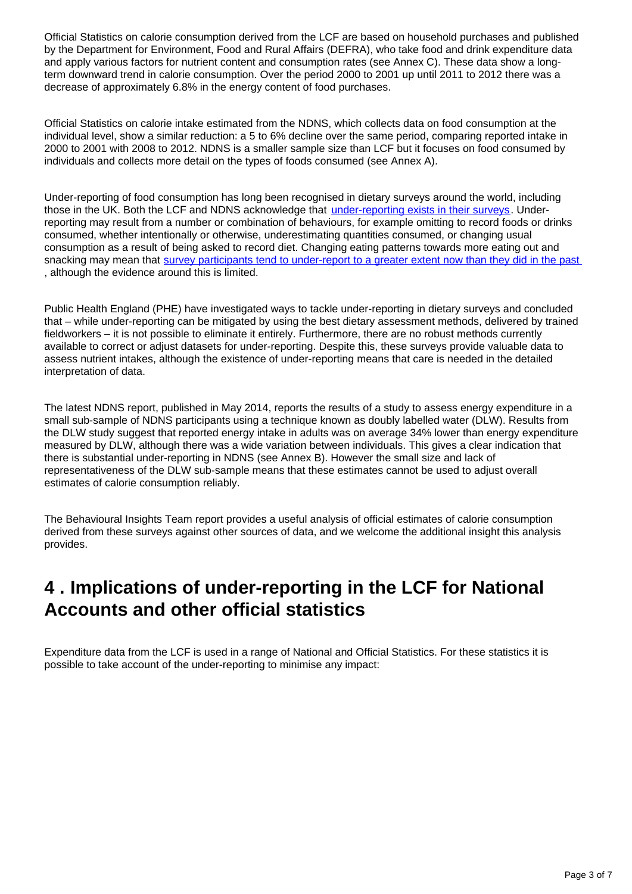Official Statistics on calorie consumption derived from the LCF are based on household purchases and published by the Department for Environment, Food and Rural Affairs (DEFRA), who take food and drink expenditure data and apply various factors for nutrient content and consumption rates (see Annex C). These data show a longterm downward trend in calorie consumption. Over the period 2000 to 2001 up until 2011 to 2012 there was a decrease of approximately 6.8% in the energy content of food purchases.

Official Statistics on calorie intake estimated from the NDNS, which collects data on food consumption at the individual level, show a similar reduction: a 5 to 6% decline over the same period, comparing reported intake in 2000 to 2001 with 2008 to 2012. NDNS is a smaller sample size than LCF but it focuses on food consumed by individuals and collects more detail on the types of foods consumed (see Annex A).

Under-reporting of food consumption has long been recognised in dietary surveys around the world, including those in the UK. Both the LCF and NDNS acknowledge that [under-reporting exists in their surveys](https://www.gov.uk/government/uploads/system/uploads/attachment_data/file/485982/familyfood-2014report-17dec15.pdf). Underreporting may result from a number or combination of behaviours, for example omitting to record foods or drinks consumed, whether intentionally or otherwise, underestimating quantities consumed, or changing usual consumption as a result of being asked to record diet. Changing eating patterns towards more eating out and snacking may mean that [survey participants tend to under-report to a greater extent now than they did in the past](https://www.gov.uk/government/uploads/system/uploads/attachment_data/file/310995/NDNS_Y1_to_4_UK_report.pdf) , although the evidence around this is limited.

Public Health England (PHE) have investigated ways to tackle under-reporting in dietary surveys and concluded that – while under-reporting can be mitigated by using the best dietary assessment methods, delivered by trained fieldworkers – it is not possible to eliminate it entirely. Furthermore, there are no robust methods currently available to correct or adjust datasets for under-reporting. Despite this, these surveys provide valuable data to assess nutrient intakes, although the existence of under-reporting means that care is needed in the detailed interpretation of data.

The latest NDNS report, published in May 2014, reports the results of a study to assess energy expenditure in a small sub-sample of NDNS participants using a technique known as doubly labelled water (DLW). Results from the DLW study suggest that reported energy intake in adults was on average 34% lower than energy expenditure measured by DLW, although there was a wide variation between individuals. This gives a clear indication that there is substantial under-reporting in NDNS (see Annex B). However the small size and lack of representativeness of the DLW sub-sample means that these estimates cannot be used to adjust overall estimates of calorie consumption reliably.

The Behavioural Insights Team report provides a useful analysis of official estimates of calorie consumption derived from these surveys against other sources of data, and we welcome the additional insight this analysis provides.

### <span id="page-2-0"></span>**4 . Implications of under-reporting in the LCF for National Accounts and other official statistics**

Expenditure data from the LCF is used in a range of National and Official Statistics. For these statistics it is possible to take account of the under-reporting to minimise any impact: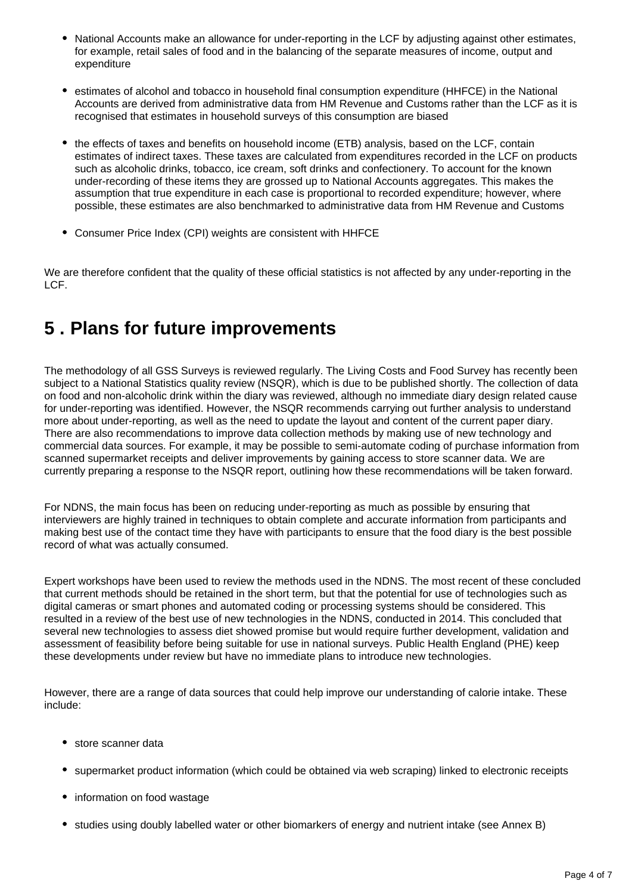- National Accounts make an allowance for under-reporting in the LCF by adjusting against other estimates, for example, retail sales of food and in the balancing of the separate measures of income, output and expenditure
- estimates of alcohol and tobacco in household final consumption expenditure (HHFCE) in the National Accounts are derived from administrative data from HM Revenue and Customs rather than the LCF as it is recognised that estimates in household surveys of this consumption are biased
- the effects of taxes and benefits on household income (ETB) analysis, based on the LCF, contain estimates of indirect taxes. These taxes are calculated from expenditures recorded in the LCF on products such as alcoholic drinks, tobacco, ice cream, soft drinks and confectionery. To account for the known under-recording of these items they are grossed up to National Accounts aggregates. This makes the assumption that true expenditure in each case is proportional to recorded expenditure; however, where possible, these estimates are also benchmarked to administrative data from HM Revenue and Customs
- Consumer Price Index (CPI) weights are consistent with HHFCE

We are therefore confident that the quality of these official statistics is not affected by any under-reporting in the LCF.

#### <span id="page-3-0"></span>**5 . Plans for future improvements**

The methodology of all GSS Surveys is reviewed regularly. The Living Costs and Food Survey has recently been subject to a National Statistics quality review (NSQR), which is due to be published shortly. The collection of data on food and non-alcoholic drink within the diary was reviewed, although no immediate diary design related cause for under-reporting was identified. However, the NSQR recommends carrying out further analysis to understand more about under-reporting, as well as the need to update the layout and content of the current paper diary. There are also recommendations to improve data collection methods by making use of new technology and commercial data sources. For example, it may be possible to semi-automate coding of purchase information from scanned supermarket receipts and deliver improvements by gaining access to store scanner data. We are currently preparing a response to the NSQR report, outlining how these recommendations will be taken forward.

For NDNS, the main focus has been on reducing under-reporting as much as possible by ensuring that interviewers are highly trained in techniques to obtain complete and accurate information from participants and making best use of the contact time they have with participants to ensure that the food diary is the best possible record of what was actually consumed.

Expert workshops have been used to review the methods used in the NDNS. The most recent of these concluded that current methods should be retained in the short term, but that the potential for use of technologies such as digital cameras or smart phones and automated coding or processing systems should be considered. This resulted in a review of the best use of new technologies in the NDNS, conducted in 2014. This concluded that several new technologies to assess diet showed promise but would require further development, validation and assessment of feasibility before being suitable for use in national surveys. Public Health England (PHE) keep these developments under review but have no immediate plans to introduce new technologies.

However, there are a range of data sources that could help improve our understanding of calorie intake. These include:

- store scanner data
- supermarket product information (which could be obtained via web scraping) linked to electronic receipts
- information on food wastage
- studies using doubly labelled water or other biomarkers of energy and nutrient intake (see Annex B)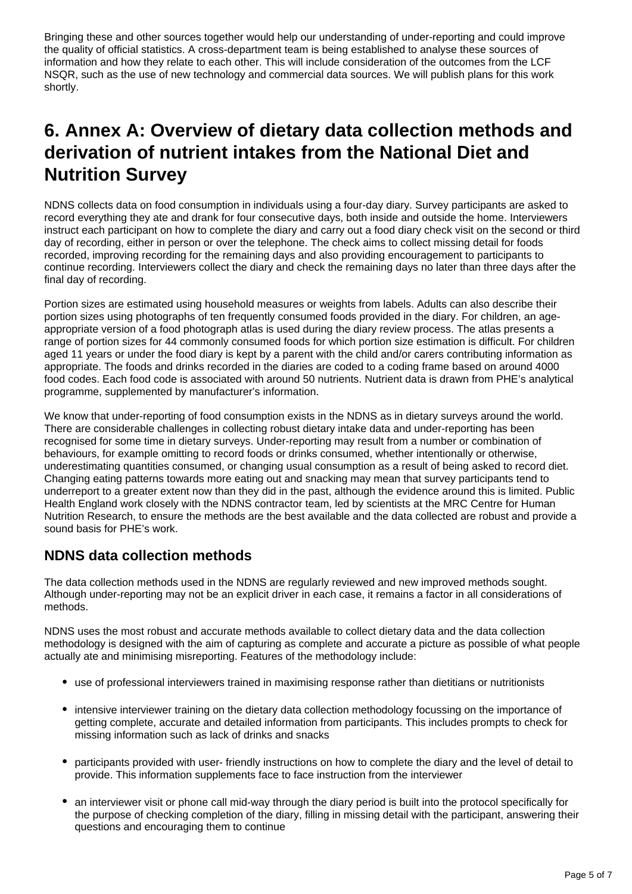Bringing these and other sources together would help our understanding of under-reporting and could improve the quality of official statistics. A cross-department team is being established to analyse these sources of information and how they relate to each other. This will include consideration of the outcomes from the LCF NSQR, such as the use of new technology and commercial data sources. We will publish plans for this work shortly.

### **6. Annex A: Overview of dietary data collection methods and derivation of nutrient intakes from the National Diet and Nutrition Survey**

NDNS collects data on food consumption in individuals using a four-day diary. Survey participants are asked to record everything they ate and drank for four consecutive days, both inside and outside the home. Interviewers instruct each participant on how to complete the diary and carry out a food diary check visit on the second or third day of recording, either in person or over the telephone. The check aims to collect missing detail for foods recorded, improving recording for the remaining days and also providing encouragement to participants to continue recording. Interviewers collect the diary and check the remaining days no later than three days after the final day of recording.

Portion sizes are estimated using household measures or weights from labels. Adults can also describe their portion sizes using photographs of ten frequently consumed foods provided in the diary. For children, an ageappropriate version of a food photograph atlas is used during the diary review process. The atlas presents a range of portion sizes for 44 commonly consumed foods for which portion size estimation is difficult. For children aged 11 years or under the food diary is kept by a parent with the child and/or carers contributing information as appropriate. The foods and drinks recorded in the diaries are coded to a coding frame based on around 4000 food codes. Each food code is associated with around 50 nutrients. Nutrient data is drawn from PHE's analytical programme, supplemented by manufacturer's information.

We know that under-reporting of food consumption exists in the NDNS as in dietary surveys around the world. There are considerable challenges in collecting robust dietary intake data and under-reporting has been recognised for some time in dietary surveys. Under-reporting may result from a number or combination of behaviours, for example omitting to record foods or drinks consumed, whether intentionally or otherwise, underestimating quantities consumed, or changing usual consumption as a result of being asked to record diet. Changing eating patterns towards more eating out and snacking may mean that survey participants tend to underreport to a greater extent now than they did in the past, although the evidence around this is limited. Public Health England work closely with the NDNS contractor team, led by scientists at the MRC Centre for Human Nutrition Research, to ensure the methods are the best available and the data collected are robust and provide a sound basis for PHE's work.

#### **NDNS data collection methods**

The data collection methods used in the NDNS are regularly reviewed and new improved methods sought. Although under-reporting may not be an explicit driver in each case, it remains a factor in all considerations of methods.

NDNS uses the most robust and accurate methods available to collect dietary data and the data collection methodology is designed with the aim of capturing as complete and accurate a picture as possible of what people actually ate and minimising misreporting. Features of the methodology include:

- use of professional interviewers trained in maximising response rather than dietitians or nutritionists
- intensive interviewer training on the dietary data collection methodology focussing on the importance of getting complete, accurate and detailed information from participants. This includes prompts to check for missing information such as lack of drinks and snacks
- participants provided with user- friendly instructions on how to complete the diary and the level of detail to provide. This information supplements face to face instruction from the interviewer
- an interviewer visit or phone call mid-way through the diary period is built into the protocol specifically for the purpose of checking completion of the diary, filling in missing detail with the participant, answering their questions and encouraging them to continue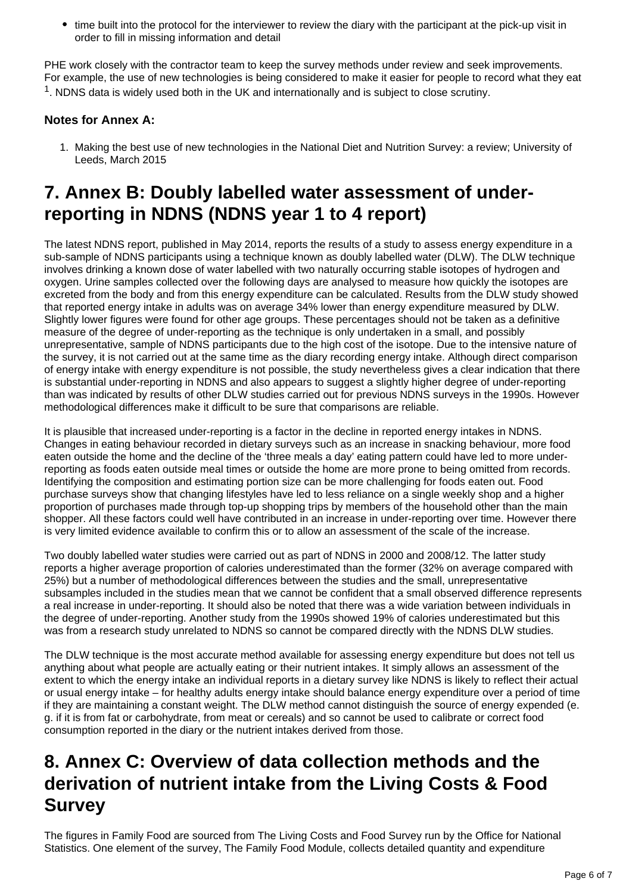• time built into the protocol for the interviewer to review the diary with the participant at the pick-up visit in order to fill in missing information and detail

PHE work closely with the contractor team to keep the survey methods under review and seek improvements. For example, the use of new technologies is being considered to make it easier for people to record what they eat  $1.$  NDNS data is widely used both in the UK and internationally and is subject to close scrutiny.

#### **Notes for Annex A:**

1. Making the best use of new technologies in the National Diet and Nutrition Survey: a review; University of Leeds, March 2015

## **7. Annex B: Doubly labelled water assessment of underreporting in NDNS (NDNS year 1 to 4 report)**

The latest NDNS report, published in May 2014, reports the results of a study to assess energy expenditure in a sub-sample of NDNS participants using a technique known as doubly labelled water (DLW). The DLW technique involves drinking a known dose of water labelled with two naturally occurring stable isotopes of hydrogen and oxygen. Urine samples collected over the following days are analysed to measure how quickly the isotopes are excreted from the body and from this energy expenditure can be calculated. Results from the DLW study showed that reported energy intake in adults was on average 34% lower than energy expenditure measured by DLW. Slightly lower figures were found for other age groups. These percentages should not be taken as a definitive measure of the degree of under-reporting as the technique is only undertaken in a small, and possibly unrepresentative, sample of NDNS participants due to the high cost of the isotope. Due to the intensive nature of the survey, it is not carried out at the same time as the diary recording energy intake. Although direct comparison of energy intake with energy expenditure is not possible, the study nevertheless gives a clear indication that there is substantial under-reporting in NDNS and also appears to suggest a slightly higher degree of under-reporting than was indicated by results of other DLW studies carried out for previous NDNS surveys in the 1990s. However methodological differences make it difficult to be sure that comparisons are reliable.

It is plausible that increased under-reporting is a factor in the decline in reported energy intakes in NDNS. Changes in eating behaviour recorded in dietary surveys such as an increase in snacking behaviour, more food eaten outside the home and the decline of the 'three meals a day' eating pattern could have led to more underreporting as foods eaten outside meal times or outside the home are more prone to being omitted from records. Identifying the composition and estimating portion size can be more challenging for foods eaten out. Food purchase surveys show that changing lifestyles have led to less reliance on a single weekly shop and a higher proportion of purchases made through top-up shopping trips by members of the household other than the main shopper. All these factors could well have contributed in an increase in under-reporting over time. However there is very limited evidence available to confirm this or to allow an assessment of the scale of the increase.

Two doubly labelled water studies were carried out as part of NDNS in 2000 and 2008/12. The latter study reports a higher average proportion of calories underestimated than the former (32% on average compared with 25%) but a number of methodological differences between the studies and the small, unrepresentative subsamples included in the studies mean that we cannot be confident that a small observed difference represents a real increase in under-reporting. It should also be noted that there was a wide variation between individuals in the degree of under-reporting. Another study from the 1990s showed 19% of calories underestimated but this was from a research study unrelated to NDNS so cannot be compared directly with the NDNS DLW studies.

The DLW technique is the most accurate method available for assessing energy expenditure but does not tell us anything about what people are actually eating or their nutrient intakes. It simply allows an assessment of the extent to which the energy intake an individual reports in a dietary survey like NDNS is likely to reflect their actual or usual energy intake – for healthy adults energy intake should balance energy expenditure over a period of time if they are maintaining a constant weight. The DLW method cannot distinguish the source of energy expended (e. g. if it is from fat or carbohydrate, from meat or cereals) and so cannot be used to calibrate or correct food consumption reported in the diary or the nutrient intakes derived from those.

### **8. Annex C: Overview of data collection methods and the derivation of nutrient intake from the Living Costs & Food Survey**

The figures in Family Food are sourced from The Living Costs and Food Survey run by the Office for National Statistics. One element of the survey, The Family Food Module, collects detailed quantity and expenditure